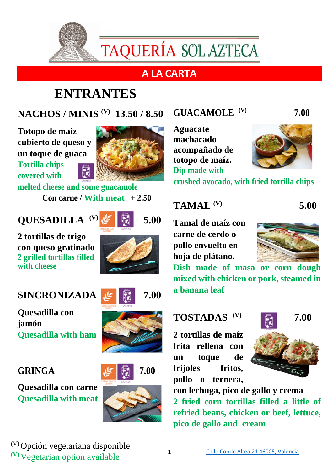

TAQUERÍA SOL AZTECA

## **A LA CARTA**

# **ENTRANTES**

**NACHOS / MINIS (V) 13.50 / 8.50**

**Totopo de maíz cubierto de queso y un toque de guaca Tortilla chips covered with** 



**melted cheese and some guacamole Con carne / With meat**  $+2.50$ 

## **QUESADILLA (V)**

**2 tortillas de trigo con queso gratinado 2 grilled tortillas filled with cheese**

#### **SINCRONIZADA** 5 7.00

**Quesadilla con jamón Quesadilla with ham**

**Quesadilla con carne Quesadilla with meat**



 **5.00**







## **GUACAMOLE (V) 7.00**

**Aguacate machacado acompañado de totopo de maíz. Dip made with** 



**crushed avocado, with fried tortilla chips**

#### **TAMAL (V)**

**Tamal de maíz con carne de cerdo o pollo envuelto en hoja de plátano.**



 **5.00**

**Dish made of masa or corn dough mixed with chicken or pork, steamed in a banana leaf** 

**2 tortillas de maíz frita rellena con un toque de frijoles fritos, pollo o ternera,** 



**con lechuga, pico de gallo y crema 2 fried corn tortillas filled a little of refried beans, chicken or beef, lettuce, pico de gallo and cream**

(V) Opción vegetariana disponible **(V)** Vegetarian option available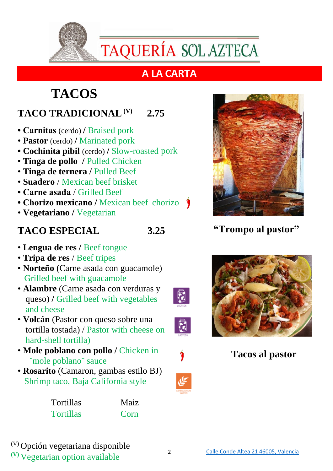

## **A LA CARTA**

# **TACOS**

## **TACO TRADICIONAL(V) 2.75**

- **Carnitas** (cerdo) **/** Braised pork
- **Pastor** (cerdo) **/** Marinated pork
- **Cochinita pibil** (cerdo) **/** Slow-roasted pork
- **Tinga de pollo /** Pulled Chicken
- **Tinga de ternera /** Pulled Beef
- **Suadero** / Mexican beef brisket
- **Carne asada** / Grilled Beef
- **Chorizo mexicano /** Mexican beef chorizo
- **Vegetariano /** Vegetarian

### **TACO ESPECIAL 3.25**

R

 $\vec{a}$ 

- **Lengua de res /** Beef tongue
- **Tripa de res** / Beef tripes
- **Norteño** (Carne asada con guacamole) Grilled beef with guacamole
- **Alambre** (Carne asada con verduras y queso) **/** Grilled beef with vegetables and cheese
- **Volcán** (Pastor con queso sobre una tortilla tostada) / Pastor with cheese on hard-shell tortilla)
- **Mole poblano con pollo /** Chicken in ¨mole poblano¨ sauce
- **Rosarito** (Camaron, gambas estilo BJ) Shrimp taco, Baja California style

| <b>Tortillas</b> | Maiz |
|------------------|------|
| <b>Tortillas</b> | Corn |



## **"Trompo al pastor"**



 **Tacos al pastor**

(V) Opción vegetariana disponible **(V)** Vegetarian option available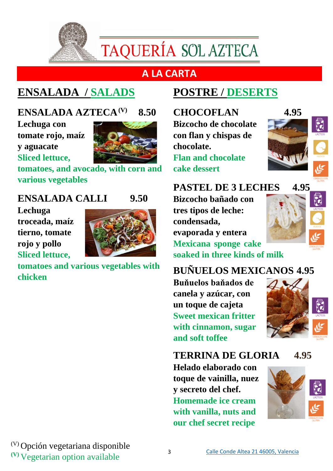

TAQUERÍA SOL AZTECA

## **A LA CARTA**

## **ENSALADA / SALADS**

## **ENSALADA AZTECA(V) 8.50**

**Lechuga con tomate rojo, maíz y aguacate Sliced lettuce,** 



**tomatoes, and avocado, with corn and various vegetables**

#### **ENSALADA CALLI 9.50**

**Lechuga troceada, maíz tierno, tomate rojo y pollo Sliced lettuce,** 



**tomatoes and various vegetables with chicken**

## **POSTRE / DESERTS**

**CHOCOFLAN 4.95 Bizcocho de chocolate con flan y chispas de chocolate. Flan and chocolate cake dessert**



**PASTEL DE 3 LECHES 4.95**

**Bizcocho bañado con tres tipos de leche: condensada, evaporada y entera Mexicana sponge cake soaked in three kinds of milk**



**BUÑUELOS MEXICANOS 4.95**

**Buňuelos baňados de canela y azúcar, con un toque de cajeta Sweet mexican fritter with cinnamon, sugar and soft toffee**



## **TERRINA DE GLORIA 4.95**

**Helado elaborado con toque de vainilla, nuez y secreto del chef. Homemade ice cream with vanilla, nuts and our chef secret recipe**



(V) Opción vegetariana disponible **(V)** Vegetarian option available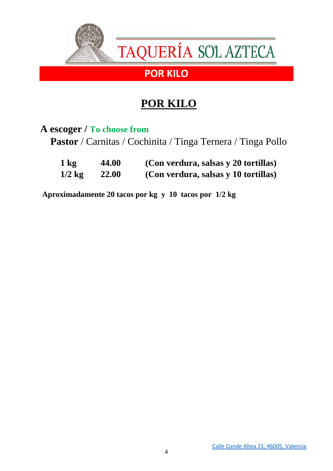

## **POR KILO**

#### **A escoger / To choose from**

 **Pastor** / Carnitas / Cochinita / Tinga Ternera / Tinga Pollo

| 1 kg     | 44.00        | (Con verdura, salsas y 20 tortillas) |
|----------|--------------|--------------------------------------|
| $1/2$ kg | <b>22.00</b> | (Con verdura, salsas y 10 tortillas) |

**Aproximadamente 20 tacos por kg y 10 tacos por 1/2 kg**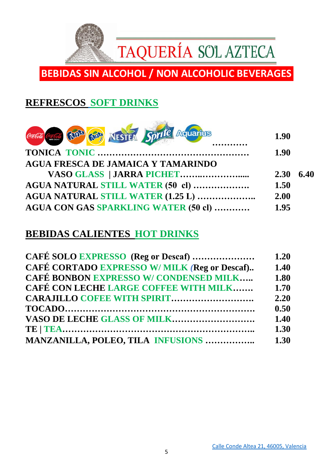

## **BEBIDAS SIN ALCOHOL / NON ALCOHOLIC BEVERAGES**

### **REFRESCOS SOFT DRINKS**



#### **BEBIDAS CALIENTES HOT DRINKS**

| CAFÉ SOLO EXPRESSO (Reg or Descaf)                  | $1.20$ |
|-----------------------------------------------------|--------|
| <b>CAFÉ CORTADO EXPRESSO W/MILK (Reg or Descaf)</b> | 1.40   |
| <b>CAFÉ BONBON EXPRESSO W/ CONDENSED MILK</b>       | 1.80   |
| <b>CAFÉ CON LECHE LARGE COFFEE WITH MILK</b>        | 1.70   |
| <b>CARAJILLO COFEE WITH SPIRIT</b>                  | 2.20   |
|                                                     | 0.50   |
|                                                     | 1.40   |
|                                                     | 1.30   |
| <b>MANZANILLA, POLEO, TILA INFUSIONS </b>           | 1.30   |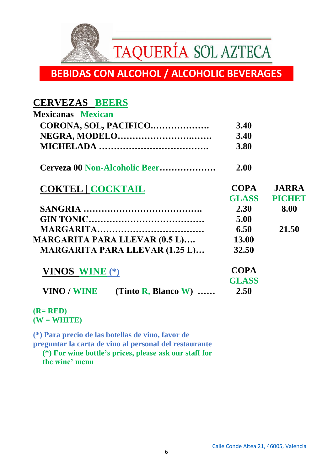

## **BEBIDAS CON ALCOHOL / ALCOHOLIC BEVERAGES**

#### **CERVEZAS BEERS**

| <b>Mexicanas Mexican</b>                          |              |              |
|---------------------------------------------------|--------------|--------------|
| CORONA, SOL, PACIFICO                             | <b>3.40</b>  |              |
|                                                   | 3.40         |              |
|                                                   | 3.80         |              |
| Cerveza 00 Non-Alcoholic Beer                     | 2.00         |              |
| <b>COKTEL   COCKTAIL</b>                          | <b>COPA</b>  | <b>JARRA</b> |
|                                                   | <b>GLASS</b> | PICHET       |
|                                                   | 2.30         | 8.00         |
|                                                   | 5.00         |              |
|                                                   | 6.50         | 21.50        |
| <b>MARGARITA PARA LLEVAR (0.5 L)</b>              | <b>13.00</b> |              |
| <b>MARGARITA PARA LLEVAR (1.25 L)</b>             | 32.50        |              |
| <b>VINOS WINE</b> (*)                             | <b>COPA</b>  |              |
|                                                   | <b>GLASS</b> |              |
| <b>VINO / WINE</b><br>(Tinto $\bf{R}$ , Blanco W) | 2.50         |              |

**(R= RED) (W = WHITE)**

**(\*) Para precio de las botellas de vino, favor de** 

**preguntar la carta de vino al personal del restaurante** 

**(\*) For wine bottle's prices, please ask our staff for the wine' menu**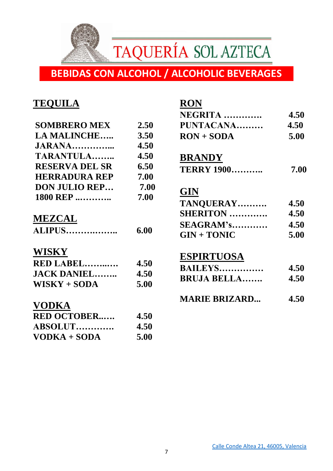TAQUERÍA SOL AZTECA

## **BEBIDAS CON ALCOHOL / ALCOHOLIC BEVERAGES**

#### **TEQUILA**

| <b>SOMBRERO MEX</b>   | 2.50 |
|-----------------------|------|
| <b>LA MALINCHE</b>    | 3.50 |
| JARANA                | 4.50 |
| TARANTULA             | 4.50 |
| <b>RESERVA DEL SR</b> | 6.50 |
| <b>HERRADURA REP</b>  | 7.00 |
| <b>DON JULIO REP</b>  | 7.00 |
| 1800 REP              | 7.00 |
|                       |      |

### **MEZCAL**

| <b>ALIPUS</b> | 6.00 |
|---------------|------|
|---------------|------|

#### **WISKY**

| RED LABEL          | 4.50 |
|--------------------|------|
| <b>JACK DANIEL</b> | 4.50 |
| $WISKY + SODA$     | 5.00 |

#### **VODKA**

| <b>RED OCTOBER</b> | 4.50 |
|--------------------|------|
| ABSOLUT            | 4.50 |
| VODKA + SODA       | 5.00 |

#### **RON**

| NEGRITA      | 4.50 |
|--------------|------|
| PUNTACANA    | 4.50 |
| $RON + SODA$ | 5.00 |

#### **BRANDY**

| 7.00 |
|------|
|      |

#### **GIN**

| TANQUERAY        | 4.50 |
|------------------|------|
| <b>SHERITON</b>  | 4.50 |
| <b>SEAGRAM's</b> | 4.50 |
| $GIN + TONIC$    | 5.00 |

#### **ESPIRTUOSA**

| <b>BAILEYS</b>     | 4.50 |
|--------------------|------|
| <b>BRUJA BELLA</b> | 4.50 |
|                    |      |

**MARIE BRIZARD... 4.50**